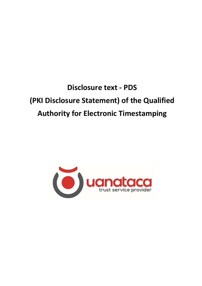# **Disclosure text - PDS (PKI Disclosure Statement) of the Qualified Authority for Electronic Timestamping**

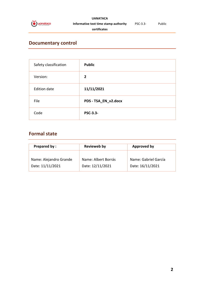

#### **UANATACA Informative text time stamp authority**

**certificates**

## **Documentary control**

| Safety classification | <b>Public</b>        |
|-----------------------|----------------------|
| Version:              | $\overline{2}$       |
| <b>Edition date</b>   | 11/11/2021           |
| File                  | PDS - TSA_EN_v2.docx |
| Code                  | <b>PSC-3.3-</b>      |

# **Formal state**

| <b>Prepared by:</b>    | <b>Revieweb by</b>  | <b>Approved by</b>   |
|------------------------|---------------------|----------------------|
| Name: Alejandro Grande | Name: Albert Borrás | Name: Gabriel García |
| Date: 11/11/2021       | Date: 12/11/2021    | Date: 16/11/2021     |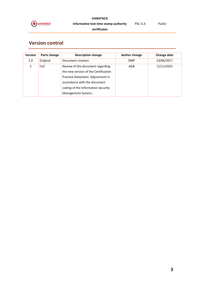

#### **UANATACA Informative text time stamp authority certificates** PSC-3.3- Public

# **Version control**

| <b>Version</b> | Parts change | <b>Description change</b>            | <b>Author change</b> | Change date |
|----------------|--------------|--------------------------------------|----------------------|-------------|
| 1.0            | Original     | Document creation                    | <b>DMP</b>           | 23/06/2017  |
| $\mathcal{P}$  | Full         | Review of the document regarding     | AGB                  | 11/11/2021  |
|                |              | the new version of the Certification |                      |             |
|                |              | Practice Statement. Adjustment in    |                      |             |
|                |              | accordance with the document         |                      |             |
|                |              | coding of the Information Security   |                      |             |
|                |              | Management System                    |                      |             |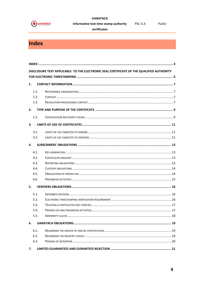

#### **UANATACA** Informative text time stamp authority

certificates

PSC-3.3-

# <span id="page-3-0"></span>Index

|    |      | DISCLOSURE TEXT APPLICABLE TO THE ELECTRONIC SEAL CERTIFICATE OF THE QUALIFIED AUTHORITY |  |
|----|------|------------------------------------------------------------------------------------------|--|
|    |      |                                                                                          |  |
| 1. |      |                                                                                          |  |
|    | 1.1. |                                                                                          |  |
|    | 1.2. |                                                                                          |  |
|    | 1.3. |                                                                                          |  |
| 2. |      |                                                                                          |  |
|    | 2.1. |                                                                                          |  |
| 3. |      |                                                                                          |  |
|    | 3.1. |                                                                                          |  |
|    | 3.2. |                                                                                          |  |
| 4. |      |                                                                                          |  |
|    | 4.1. |                                                                                          |  |
|    | 4.2. |                                                                                          |  |
|    | 4.3. |                                                                                          |  |
|    | 4.4. |                                                                                          |  |
|    | 4.5. |                                                                                          |  |
|    | 4.6. |                                                                                          |  |
| 5. |      |                                                                                          |  |
|    | 5.1. |                                                                                          |  |
|    | 5.2. |                                                                                          |  |
|    | 5.3. |                                                                                          |  |
|    | 5.4. |                                                                                          |  |
|    | 5.5. |                                                                                          |  |
| 6. |      |                                                                                          |  |
|    | 6.1. |                                                                                          |  |
|    | 6.2. |                                                                                          |  |
|    | 6.3. |                                                                                          |  |
| 7. |      |                                                                                          |  |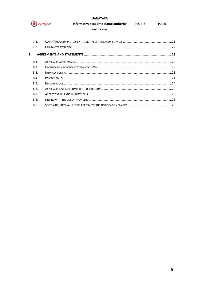

#### **UANATACA**

#### Informative text time stamp authority Public PSC-3.3-

#### certificates

| 7.1.<br>7.2. |  |
|--------------|--|
| 8.           |  |
| 8.1.         |  |
| 8.2.         |  |
| 8.3.         |  |
| 8.4.         |  |
| 8.5.         |  |
| 8.6.         |  |
| 8.7.         |  |
| 8.8.         |  |
| 8.9.         |  |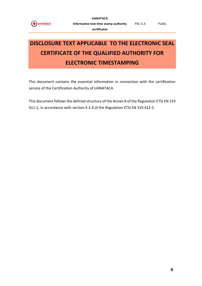

# <span id="page-5-0"></span>**DISCLOSURE TEXT APPLICABLE TO THE ELECTRONIC SEAL CERTIFICATE OF THE QUALIFIED AUTHORITY FOR ELECTRONIC TIMESTAMPING**

This document contains the essential information in connection with the certification service of the Certification Authority of UANATACA.

This document follows the defined structure of the Annex A of the Regulation ETSI EN 319 411-1, in accordance with section 4.3.4 of the Regulation ETSI EN 319 412-5.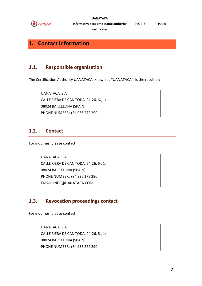

**UANATACA**

PSC-3.3- Public

**Informative text time stamp authority certificates**

# <span id="page-6-0"></span>**1. Contact information**

### <span id="page-6-1"></span>**1.1. Responsible organisation**

The Certification Authority UANATACA, known as "UANATACA", is the result of:

UANATACA, S.A. CALLE RIERA DE CAN TODÀ, 24-26, 6º, 1ª 08024 BARCELONA (SPAIN) PHONE NUMBER: +34 935 272 290

#### <span id="page-6-2"></span>**1.2. Contact**

For inquiries, please contact:

UANATACA, S.A. CALLE RIERA DE CAN TODÀ, 24-26, 6º, 1ª 08024 BARCELONA (SPAIN) PHONE NUMBER: +34 935 272 290 EMAIL: INFO@UANATACA.COM

#### <span id="page-6-3"></span>**1.3. Revocation proceedings contact**

For inquiries, please contact:

UANATACA, S.A. CALLE RIERA DE CAN TODÀ, 24-26, 6º, 1ª 08024 BARCELONA (SPAIN) PHONE NUMBER: +34 935 272 290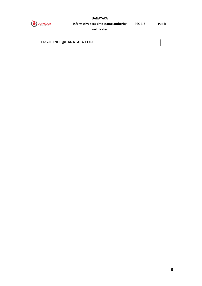

#### **UANATACA**

**Informative text time stamp authority** 

PSC-3.3- Public

**certificates**

EMAIL: INFO@UANATACA.COM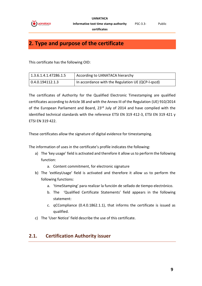

# <span id="page-8-0"></span>**2. Type and purpose of the certificate**

This certificate has the following OID:

| 1.3.6.1.4.1.47286.1.5 | According to UANATACA hierarchy                   |
|-----------------------|---------------------------------------------------|
| 0.4.0.194112.1.3      | In accordance with the Regulation UE (QCP-I-qscd) |

The certificates of Authority for the Qualified Electronic Timestamping are qualified certificates according to Article 38 and with the Annex III of the Regulation (UE) 910/2014 of the European Parliament and Board, 23<sup>rd</sup> July of 2014 and have complied with the identified technical standards with the reference ETSI EN 319 412-3, ETSI EN 319 421 y ETSI EN 319 422.

These certificates allow the signature of digital evidence for timestamping.

The information of uses in the certificate's profile indicates the following:

- a) The 'key usage' field is activated and therefore it allow us to perform the following function:
	- a. Content commitment, for electronic signature
- b) The 'extKeyUsage' field is activated and therefore it allow us to perform the following functions:
	- a. 'timeStamping' para realizar la función de sellado de tiempo electrónico.
	- b. The 'Qualified Certificate Statements' field appears in the following statement:
	- c. qCCompliance (0.4.0.1862.1.1), that informs the certificate is issued as qualified.
- c) The 'User Notice' field describe the use of this certificate.

#### <span id="page-8-1"></span>**2.1. Certification Authority issuer**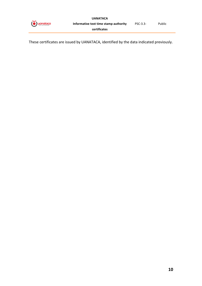

These certificates are issued by UANATACA, identified by the data indicated previously.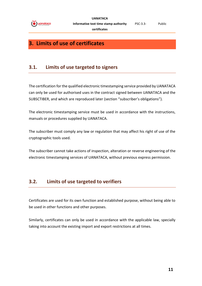

# <span id="page-10-0"></span>**3. Limits of use of certificates**

### <span id="page-10-1"></span>**3.1. Limits of use targeted to signers**

The certification for the qualified electronic timestamping service provided by UANATACA can only be used for authorised uses in the contract signed between UANATACA and the SUBSCTIBER, and which are reproduced later (section "subscriber's obligations").

The electronic timestamping service must be used in accordance with the instructions, manuals or procedures supplied by UANATACA.

The subscriber must comply any law or regulation that may affect his right of use of the cryptographic tools used.

The subscriber cannot take actions of inspection, alteration or reverse engineering of the electronic timestamping services of UANATACA, without previous express permission.

#### <span id="page-10-2"></span>**3.2. Limits of use targeted to verifiers**

Certificates are used for its own function and established purpose, without being able to be used in other functions and other purposes.

Similarly, certificates can only be used in accordance with the applicable law, specially taking into account the existing import and export restrictions at all times.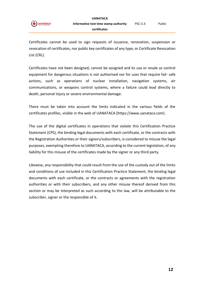

Certificates cannot be used to sign requests of issuance, renovation, suspension or revocation of certificates, nor public key certificates of any type, or Certificate Revocation List (CRL).

Certificates have not been designed, cannot be assigned and its use or resale as control equipment for dangerous situations is not authorised nor for uses that require fail- safe actions, such as operations of nuclear installation, navigation systems, air communications, or weapons control systems, where a failure could lead directly to death, personal injury or severe environmental damage.

There must be taken into account the limits indicated in the various fields of the certificates profiles, visible in the web of UANATACA (https://www.uanataca.com).

The use of the digital certificates in operations that violate this Certification Practice Statement (CPS), the binding legal documents with each certificate, or the contracts with the Registration Authorities or their signers/subscribers, is considered to misuse the legal purposes, exempting therefore to UANATACA, according to the current legislation, of any liability for this misuse of the certificates made by the signer or any third party.

Likewise, any responsibility that could result from the use of the custody out of the limits and conditions of use included in this Certification Practice Statement, the binding legal documents with each certificate, or the contracts or agreements with the registration authorities or with their subscribers, and any other misuse thereof derived from this section or may be interpreted as such according to the law, will be attributable to the subscriber, signer or the responsible of it.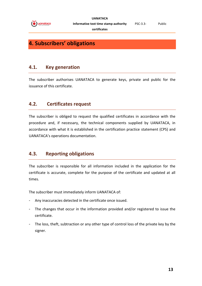

# <span id="page-12-0"></span>**4. Subscribers' obligations**

#### <span id="page-12-1"></span>**4.1. Key generation**

The subscriber authorises UANATACA to generate keys, private and public for the issuance of this certificate.

#### <span id="page-12-2"></span>**4.2. Certificates request**

The subscriber is obliged to request the qualified certificates in accordance with the procedure and, if necessary, the technical components supplied by UANATACA, in accordance with what it is established in the certification practice statement (CPS) and UANATACA's operations documentation.

#### <span id="page-12-3"></span>**4.3. Reporting obligations**

The subscriber is responsible for all information included in the application for the certificate is accurate, complete for the purpose of the certificate and updated at all times.

The subscriber must immediately inform UANATACA of:

- Any inaccuracies detected in the certificate once issued.
- The changes that occur in the information provided and/or registered to issue the certificate.
- The loss, theft, subtraction or any other type of control loss of the private key by the signer.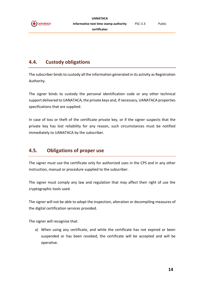

#### <span id="page-13-0"></span>**4.4. Custody obligations**

The subscriber binds to custody all the information generated in its activity as Registration Authority.

The signer binds to custody the personal identification code or any other technical support delivered to UANATACA, the private keys and, if necessary, UANATACA properties specifications that are supplied.

In case of loss or theft of the certificate private key, or if the signer suspects that the private key has lost reliability for any reason, such circumstances must be notified immediately to UANATACA by the subscriber.

### <span id="page-13-1"></span>**4.5. Obligations of proper use**

The signer must use the certificate only for authorized uses in the CPS and in any other instruction, manual or procedure supplied to the subscriber.

The signer must comply any law and regulation that may affect their right of use the cryptographic tools used.

The signer will not be able to adopt the inspection, alteration or decompiling measures of the digital certification services provided.

The signer will recognise that:

a) When using any certificate, and while the certificate has not expired or been suspended or has been revoked, the certificate will be accepted and will be operative.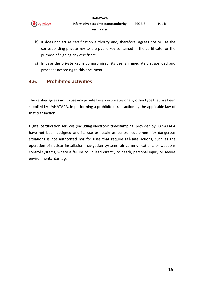

- b) It does not act as certification authority and, therefore, agrees not to use the corresponding private key to the public key contained in the certificate for the purpose of signing any certificate.
- <span id="page-14-0"></span>c) In case the private key is compromised, its use is immediately suspended and proceeds according to this document.

#### **4.6. Prohibited activities**

The verifier agrees not to use any private keys, certificates or any other type that has been supplied by UANATACA, in performing a prohibited transaction by the applicable law of that transaction.

Digital certification services (including electronic timestamping) provided by UANATACA have not been designed and its use or resale as control equipment for dangerous situations is not authorized nor for uses that require fail-safe actions, such as the operation of nuclear installation, navigation systems, air communications, or weapons control systems, where a failure could lead directly to death, personal injury or severe environmental damage.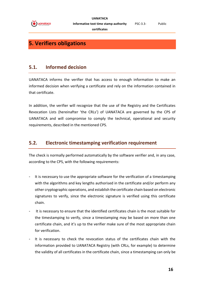

# <span id="page-15-0"></span>**5. Verifiers obligations**

#### <span id="page-15-1"></span>**5.1. Informed decision**

UANATACA informs the verifier that has access to enough information to make an informed decision when verifying a certificate and rely on the information contained in that certificate.

In addition, the verifier will recognize that the use of the Registry and the Certificates Revocation Lists (hereinafter 'the CRLs') of UANATACA are governed by the CPS of UANATACA and will compromise to comply the technical, operational and security requirements, described in the mentioned CPS.

#### <span id="page-15-2"></span>**5.2. Electronic timestamping verification requirement**

The check is normally performed automatically by the software verifier and, in any case, according to the CPS, with the following requirements:

- It is necessary to use the appropriate software for the verification of a timestamping with the algorithms and key lengths authorised in the certificate and/or perform any other cryptographic operations, and establish the certificate chain based on electronic signatures to verify, since the electronic signature is verified using this certificate chain.
- It is necessary to ensure that the identified certificates chain is the most suitable for the timestamping to verify, since a timestamping may be based on more than one certificate chain, and it's up to the verifier make sure of the most appropriate chain for verification.
- It is necessary to check the revocation status of the certificates chain with the information provided to UANATACA Registry (with CRLs, for example) to determine the validity of all certificates in the certificate chain, since a timestamping can only be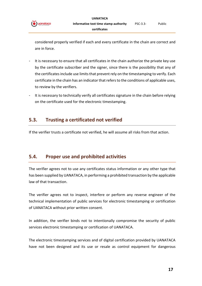

considered properly verified if each and every certificate in the chain are correct and are in force.

- It is necessary to ensure that all certificates in the chain authorize the private key use by the certificate subscriber and the signer, since there is the possibility that any of the certificates include use limits that prevent rely on the timestamping to verify. Each certificate in the chain has an indicator that refers to the conditions of applicable uses, to review by the verifiers.
- It is necessary to technically verify all certificates signature in the chain before relying on the certificate used for the electronic timestamping.

#### <span id="page-16-0"></span>**5.3. Trusting a certificated not verified**

If the verifier trusts a certificate not verified, he will assume all risks from that action.

#### <span id="page-16-1"></span>**5.4. Proper use and prohibited activities**

The verifier agrees not to use any certificates status information or any other type that has been supplied by UANATACA, in performing a prohibited transaction by the applicable law of that transaction.

The verifier agrees not to inspect, interfere or perform any reverse engineer of the technical implementation of public services for electronic timestamping or certification of UANATACA without prior written consent.

In addition, the verifier binds not to intentionally compromise the security of public services electronic timestamping or certification of UANATACA.

The electronic timestamping services and of digital certification provided by UANATACA have not been designed and its use or resale as control equipment for dangerous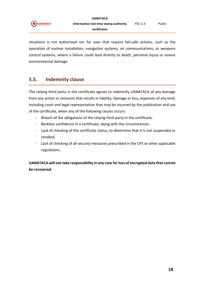

situations is not authorized nor for uses that require fail-safe actions, such as the operation of nuclear installation, navigation systems, air communications, or weapons control systems, where a failure could lead directly to death, personal injury or severe environmental damage.

#### <span id="page-17-0"></span>**5.5. Indemnity clause**

The relying third party in the certificate agrees to indemnify UANATACA of any damage from any action or omission that results in liability, damage or loss, expenses of any kind, including court and legal representation that may be incurred by the publication and use of the certificate, when any of the following causes occurs:

- Breach of the obligations of the relying third party in the certificate.
- Reckless confidence in a certificate, along with the circumstances.
- Lack of checking of the certificate status, to determine that it is not suspended or revoked.
- Lack of checking of all security measures prescribed in the CPS or other applicable regulations.

**UANATACA will not take responsibility in any case for loss of encrypted data that cannot be recovered.**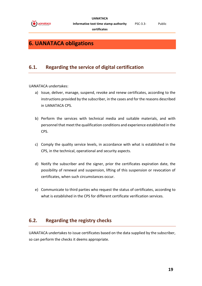

#### **certificates**

# <span id="page-18-0"></span>**6. UANATACA obligations**

#### <span id="page-18-1"></span>**6.1. Regarding the service of digital certification**

UANATACA undertakes:

- a) Issue, deliver, manage, suspend, revoke and renew certificates, according to the instructions provided by the subscriber, in the cases and for the reasons described in UANATACA CPS.
- b) Perform the services with technical media and suitable materials, and with personnel that meet the qualification conditions and experience established in the CPS.
- c) Comply the quality service levels, in accordance with what is established in the CPS, in the technical, operational and security aspects.
- d) Notify the subscriber and the signer, prior the certificates expiration date, the possibility of renewal and suspension, lifting of this suspension or revocation of certificates, when such circumstances occur.
- e) Communicate to third parties who request the status of certificates, according to what is established in the CPS for different certificate verification services.

#### <span id="page-18-2"></span>**6.2. Regarding the registry checks**

UANATACA undertakes to issue certificates based on the data supplied by the subscriber, so can perform the checks it deems appropriate.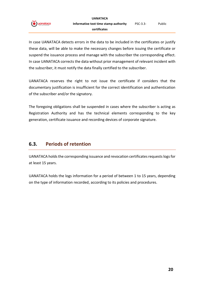



In case UANATACA detects errors in the data to be included in the certificates or justify these data, will be able to make the necessary changes before issuing the certificate or suspend the issuance process and manage with the subscriber the corresponding effect. In case UANATACA corrects the data without prior management of relevant incident with the subscriber, it must notify the data finally certified to the subscriber.

UANATACA reserves the right to not issue the certificate if considers that the documentary justification is insufficient for the correct identification and authentication of the subscriber and/or the signatory.

The foregoing obligations shall be suspended in cases where the subscriber is acting as Registration Authority and has the technical elements corresponding to the key generation, certificate issuance and recording devices of corporate signature.

#### <span id="page-19-0"></span>**6.3. Periods of retention**

UANATACA holds the corresponding issuance and revocation certificates requests logs for at least 15 years.

UANATACA holds the logs information for a period of between 1 to 15 years, depending on the type of information recorded, according to its policies and procedures.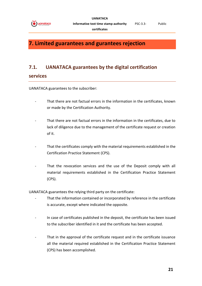

# <span id="page-20-0"></span>**7. Limited guarantees and gurantees rejection**

#### <span id="page-20-1"></span>**7.1. UANATACA guarantees by the digital certification**

#### **services**

UANATACA guarantees to the subscriber:

- That there are not factual errors in the information in the certificates, known or made by the Certification Authority.
- That there are not factual errors in the information in the certificates, due to lack of diligence due to the management of the certificate request or creation of it.
- That the certificates comply with the material requirements established in the Certification Practice Statement (CPS).
- That the revocation services and the use of the Deposit comply with all material requirements established in the Certification Practice Statement (CPS).

UANATACA guarantees the relying third party on the certificate:

- That the information contained or incorporated by reference in the certificate is accurate, except where indicated the opposite.
- In case of certificates published in the deposit, the certificate has been issued to the subscriber identified in it and the certificate has been accepted.
- That in the approval of the certificate request and in the certificate issuance all the material required established in the Certification Practice Statement (CPS) has been accomplished.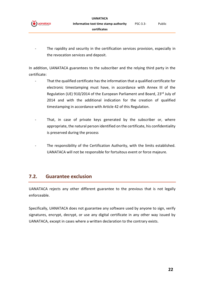

The rapidity and security in the certification services provision, especially in the revocation services and deposit.

In addition, UANATACA guarantees to the subscriber and the relying third party in the certificate:

- That the qualified certificate has the information that a qualified certificate for electronic timestamping must have, in accordance with Annex III of the Regulation (UE) 910/2014 of the European Parliament and Board, 23rd July of 2014 and with the additional indication for the creation of qualified timestamping in accordance with Article 42 of this Regulation.
- That, in case of private keys generated by the subscriber or, where appropriate, the natural person identified on the certificate, his confidentiality is preserved during the process
- The responsibility of the Certification Authority, with the limits established. UANATACA will not be responsible for fortuitous event or force majeure.

#### <span id="page-21-0"></span>**7.2. Guarantee exclusion**

UANATACA rejects any other different guarantee to the previous that is not legally enforceable.

Specifically, UANATACA does not guarantee any software used by anyone to sign, verify signatures, encrypt, decrypt, or use any digital certificate in any other way issued by UANATACA, except in cases where a written declaration to the contrary exists.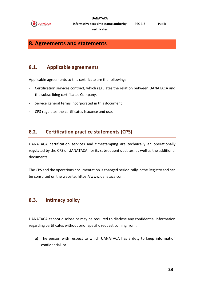

**certificates**

## <span id="page-22-0"></span>**8. Agreements and statements**

#### <span id="page-22-1"></span>**8.1. Applicable agreements**

Applicable agreements to this certificate are the followings:

- Certification services contract, which regulates the relation between UANATACA and the subscribing certificates Company.
- Service general terms incorporated in this document
- CPS regulates the certificates issuance and use.

#### <span id="page-22-2"></span>**8.2. Certification practice statements (CPS)**

UANATACA certification services and timestamping are technically an operationally regulated by the CPS of UANATACA, for its subsequent updates, as well as the additional documents.

The CPS and the operations documentation is changed periodically in the Registry and can be consulted on the website: https://www.uanataca.com.

#### <span id="page-22-3"></span>**8.3. Intimacy policy**

UANATACA cannot disclose or may be required to disclose any confidential information regarding certificates without prior specific request coming from:

a) The person with respect to which UANATACA has a duty to keep information confidential, or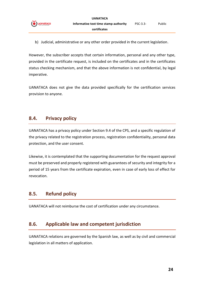

b) Judicial, administrative or any other order provided in the current legislation.

However, the subscriber accepts that certain information, personal and any other type, provided in the certificate request, is included on the certificates and in the certificates status checking mechanism, and that the above information is not confidential, by legal imperative.

UANATACA does not give the data provided specifically for the certification services provision to anyone.

#### <span id="page-23-0"></span>**8.4. Privacy policy**

UANATACA has a privacy policy under Section 9.4 of the CPS, and a specific regulation of the privacy related to the registration process, registration confidentiality, personal data protection, and the user consent.

Likewise, it is contemplated that the supporting documentation for the request approval must be preserved and properly registered with guarantees of security and integrity for a period of 15 years from the certificate expiration, even in case of early loss of effect for revocation.

#### <span id="page-23-1"></span>**8.5. Refund policy**

UANATACA will not reimburse the cost of certification under any circumstance.

#### <span id="page-23-2"></span>**8.6. Applicable law and competent jurisdiction**

UANATACA relations are governed by the Spanish law, as well as by civil and commercial legislation in all matters of application.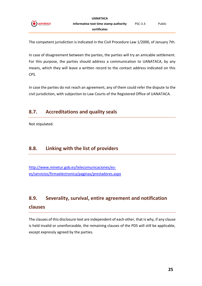

The competent jurisdiction is indicated in the Civil Procedure Law 1/2000, of January 7th.

In case of disagreement between the parties, the parties will try an amicable settlement. For this purpose, the parties should address a communication to UANATACA, by any means, which they will leave a written record to the contact address indicated on this CPS.

In case the parties do not reach an agreement, any of them could refer the dispute to the civil jurisdiction, with subjection to Law Courts of the Registered Office of UANATACA.

#### <span id="page-24-0"></span>**8.7. Accreditations and quality seals**

Not stipulated.

#### <span id="page-24-1"></span>**8.8. Linking with the list of providers**

[http://www.minetur.gob.es/telecomunicaciones/es](http://www.minetur.gob.es/telecomunicaciones/es-es/servicios/firmaelectronica/paginas/prestadores.aspx)[es/servicios/firmaelectronica/paginas/prestadores.aspx](http://www.minetur.gob.es/telecomunicaciones/es-es/servicios/firmaelectronica/paginas/prestadores.aspx)

# <span id="page-24-2"></span>**8.9. Severality, survival, entire agreement and notification**

#### **clauses**

The clauses of this disclosure text are independent of each other, that is why, if any clause is held invalid or unenforceable, the remaining clauses of the PDS will still be applicable, except expressly agreed by the parties.